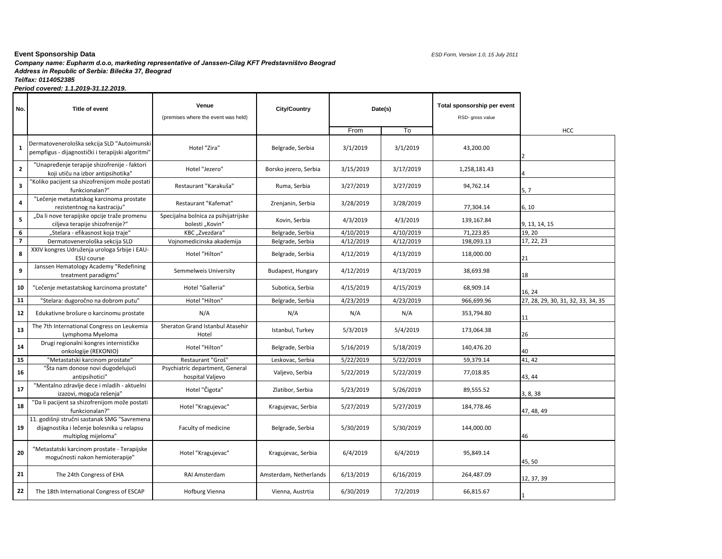## *Company name: Eupharm d.o.o, marketing representative of Janssen-Cilag KFT Predstavništvo Beograd*  **Event Sponsorship Data** *ESD Form, Version 1.0, 15 July 2011 Address in Republic of Serbia: Bilećka 37, Beograd Tel/fax: 0114052385 Period covered: 1.1.2019-31.12.2019.*

| No.                     | Title of event                                                                                                    | Venue<br>(premises where the event was held)            | <b>City/Country</b>    | Date(s)   |           | Total sponsorship per event<br>RSD- gross value |                                    |
|-------------------------|-------------------------------------------------------------------------------------------------------------------|---------------------------------------------------------|------------------------|-----------|-----------|-------------------------------------------------|------------------------------------|
|                         |                                                                                                                   |                                                         |                        | From      | To        |                                                 | <b>HCC</b>                         |
| 1                       | Dermatovenerološka sekcija SLD "Autoimunski<br>pempfigus - dijagnostički i terapijski algoritmi"                  | Hotel "Zira"                                            | Belgrade, Serbia       | 3/1/2019  | 3/1/2019  | 43,200.00                                       |                                    |
| $\mathbf{2}$            | "Unapređenje terapije shizofrenije - faktori<br>koji utiču na izbor antipsihotika"                                | Hotel "Jezero"                                          | Borsko jezero, Serbia  | 3/15/2019 | 3/17/2019 | 1,258,181.43                                    |                                    |
| 3                       | Koliko pacijent sa shizofrenijom može postati<br>funkcionalan?"                                                   | Restaurant "Karakuša"                                   | Ruma, Serbia           | 3/27/2019 | 3/27/2019 | 94,762.14                                       | 5, 7                               |
| 4                       | "Lečenje metastatskog karcinoma prostate<br>rezistentnog na kastraciju"                                           | Restaurant "Kafemat"                                    | Zrenjanin, Serbia      | 3/28/2019 | 3/28/2019 | 77,304.14                                       | 6.10                               |
| 5                       | "Da li nove terapijske opcije traže promenu<br>ciljeva terapije shizofrenije?"                                    | Specijalna bolnica za psihijatrijske<br>bolesti "Kovin" | Kovin, Serbia          | 4/3/2019  | 4/3/2019  | 139,167.84                                      | 9, 13, 14, 15                      |
| 6                       | "Stelara - efikasnost koja traje"                                                                                 | KBC "Zvezdara"                                          | Belgrade, Serbia       | 4/10/2019 | 4/10/2019 | 71,223.85                                       | 19, 20                             |
| $\overline{\mathbf{z}}$ | Dermatovenerološka sekcija SLD                                                                                    | Vojnomedicinska akademija                               | Belgrade, Serbia       | 4/12/2019 | 4/12/2019 | 198,093.13                                      | 17, 22, 23                         |
| 8                       | XXIV kongres Udruženja urologa Srbije i EAU-<br>ESU course                                                        | Hotel "Hilton"                                          | Belgrade, Serbia       | 4/12/2019 | 4/13/2019 | 118,000.00                                      | 21                                 |
| 9                       | Janssen Hematology Academy "Redefining<br>treatment paradigms"                                                    | Semmelweis University                                   | Budapest, Hungary      | 4/12/2019 | 4/13/2019 | 38,693.98                                       | 18                                 |
| 10                      | "Lečenje metastatskog karcinoma prostate"                                                                         | Hotel "Galleria"                                        | Subotica, Serbia       | 4/15/2019 | 4/15/2019 | 68,909.14                                       | 16, 24                             |
| 11                      | "Stelara: dugoročno na dobrom putu"                                                                               | Hotel "Hilton"                                          | Belgrade, Serbia       | 4/23/2019 | 4/23/2019 | 966,699.96                                      | 27, 28, 29, 30, 31, 32, 33, 34, 35 |
| 12                      | Edukativne brošure o karcinomu prostate                                                                           | N/A                                                     | N/A                    | N/A       | N/A       | 353,794.80                                      | 11                                 |
| 13                      | The 7th International Congress on Leukemia<br>Lymphoma Myeloma                                                    | Sheraton Grand Istanbul Atasehir<br>Hotel               | Istanbul, Turkey       | 5/3/2019  | 5/4/2019  | 173,064.38                                      | 26                                 |
| 14                      | Drugi regionalni kongres internističke<br>onkologije (REKONIO)                                                    | Hotel "Hilton"                                          | Belgrade, Serbia       | 5/16/2019 | 5/18/2019 | 140,476.20                                      | 40                                 |
| 15                      | "Metastatski karcinom prostate"                                                                                   | Restaurant "Groš"                                       | Leskovac, Serbia       | 5/22/2019 | 5/22/2019 | 59,379.14                                       | 41, 42                             |
| 16                      | "Šta nam donose novi dugodelujući<br>antipsihotici"                                                               | Psychiatric department, General<br>hospital Valjevo     | Valjevo, Serbia        | 5/22/2019 | 5/22/2019 | 77,018.85                                       | 43, 44                             |
| 17                      | "Mentalno zdravlje dece i mladih - aktuelni<br>izazovi, moguća rešenja"                                           | Hotel "Čigota"                                          | Zlatibor, Serbia       | 5/23/2019 | 5/26/2019 | 89,555.52                                       | 3, 8, 38                           |
| 18                      | "Da li pacijent sa shizofrenijom može postati<br>funkcionalan?"                                                   | Hotel "Kragujevac"                                      | Kragujevac, Serbia     | 5/27/2019 | 5/27/2019 | 184,778.46                                      | 47, 48, 49                         |
| 19                      | 11. godišnji stručni sastanak SMG "Savremena<br>dijagnostika i lečenje bolesnika u relapsu<br>multiplog mijeloma" | Faculty of medicine                                     | Belgrade, Serbia       | 5/30/2019 | 5/30/2019 | 144,000.00                                      | 46                                 |
| 20                      | "Metastatski karcinom prostate - Terapijske<br>mogućnosti nakon hemioterapije"                                    | Hotel "Kragujevac"                                      | Kragujevac, Serbia     | 6/4/2019  | 6/4/2019  | 95,849.14                                       | 45,50                              |
| 21                      | The 24th Congress of EHA                                                                                          | RAI Amsterdam                                           | Amsterdam, Netherlands | 6/13/2019 | 6/16/2019 | 264,487.09                                      | 12, 37, 39                         |
| 22                      | The 18th International Congress of ESCAP                                                                          | Hofburg Vienna                                          | Vienna, Austrtia       | 6/30/2019 | 7/2/2019  | 66,815.67                                       |                                    |